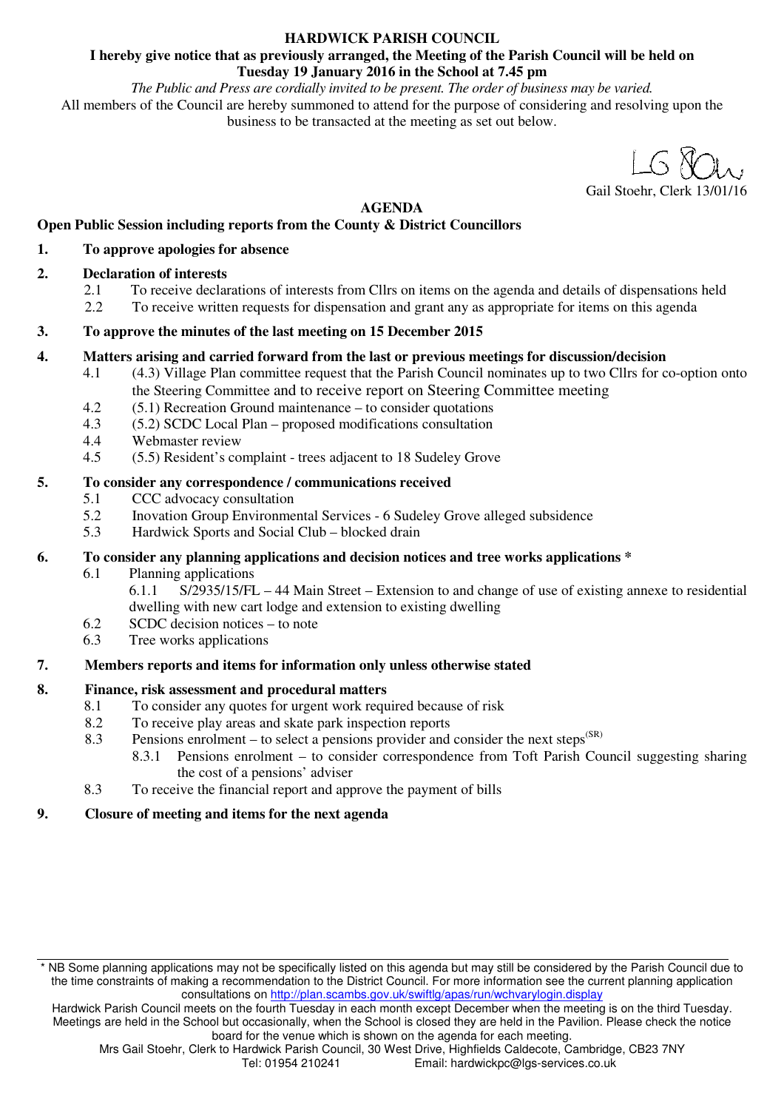## **HARDWICK PARISH COUNCIL**

#### **I hereby give notice that as previously arranged, the Meeting of the Parish Council will be held on Tuesday 19 January 2016 in the School at 7.45 pm**

*The Public and Press are cordially invited to be present. The order of business may be varied.*  All members of the Council are hereby summoned to attend for the purpose of considering and resolving upon the business to be transacted at the meeting as set out below.

Gail Stoehr, Clerk

**AGENDA** 

## **Open Public Session including reports from the County & District Councillors**

#### **1. To approve apologies for absence**

## **2. Declaration of interests**

- 2.1 To receive declarations of interests from Cllrs on items on the agenda and details of dispensations held
- 2.2 To receive written requests for dispensation and grant any as appropriate for items on this agenda

#### **3. To approve the minutes of the last meeting on 15 December 2015**

#### **4. Matters arising and carried forward from the last or previous meetings for discussion/decision**

- 4.1 (4.3) Village Plan committee request that the Parish Council nominates up to two Cllrs for co-option onto the Steering Committee and to receive report on Steering Committee meeting
- 4.2 (5.1) Recreation Ground maintenance to consider quotations
- 4.3 (5.2) SCDC Local Plan proposed modifications consultation
- 4.4 Webmaster review
- 4.5 (5.5) Resident's complaint trees adjacent to 18 Sudeley Grove

#### **5. To consider any correspondence / communications received**

- 5.1 CCC advocacy consultation<br>5.2 Inovation Group Environme
- 5.2 Inovation Group Environmental Services 6 Sudeley Grove alleged subsidence
- 5.3 Hardwick Sports and Social Club blocked drain

#### **6. To consider any planning applications and decision notices and tree works applications \***

- 6.1 Planning applications
	- 6.1.1 S/2935/15/FL 44 Main Street Extension to and change of use of existing annexe to residential dwelling with new cart lodge and extension to existing dwelling
- 6.2 SCDC decision notices to note
- 6.3 Tree works applications

## **7. Members reports and items for information only unless otherwise stated**

## **8. Finance, risk assessment and procedural matters**

- 8.1 To consider any quotes for urgent work required because of risk
- 8.2 To receive play areas and skate park inspection reports
- 8.3 Pensions enrolment to select a pensions provider and consider the next steps<sup> $(SR)$ </sup>
	- 8.3.1 Pensions enrolment to consider correspondence from Toft Parish Council suggesting sharing the cost of a pensions' adviser
- 8.3 To receive the financial report and approve the payment of bills

## **9. Closure of meeting and items for the next agenda**

<sup>\*</sup> NB Some planning applications may not be specifically listed on this agenda but may still be considered by the Parish Council due to the time constraints of making a recommendation to the District Council. For more information see the current planning application consultations on http://plan.scambs.gov.uk/swiftlg/apas/run/wchvarylogin.display

Hardwick Parish Council meets on the fourth Tuesday in each month except December when the meeting is on the third Tuesday. Meetings are held in the School but occasionally, when the School is closed they are held in the Pavilion. Please check the notice board for the venue which is shown on the agenda for each meeting.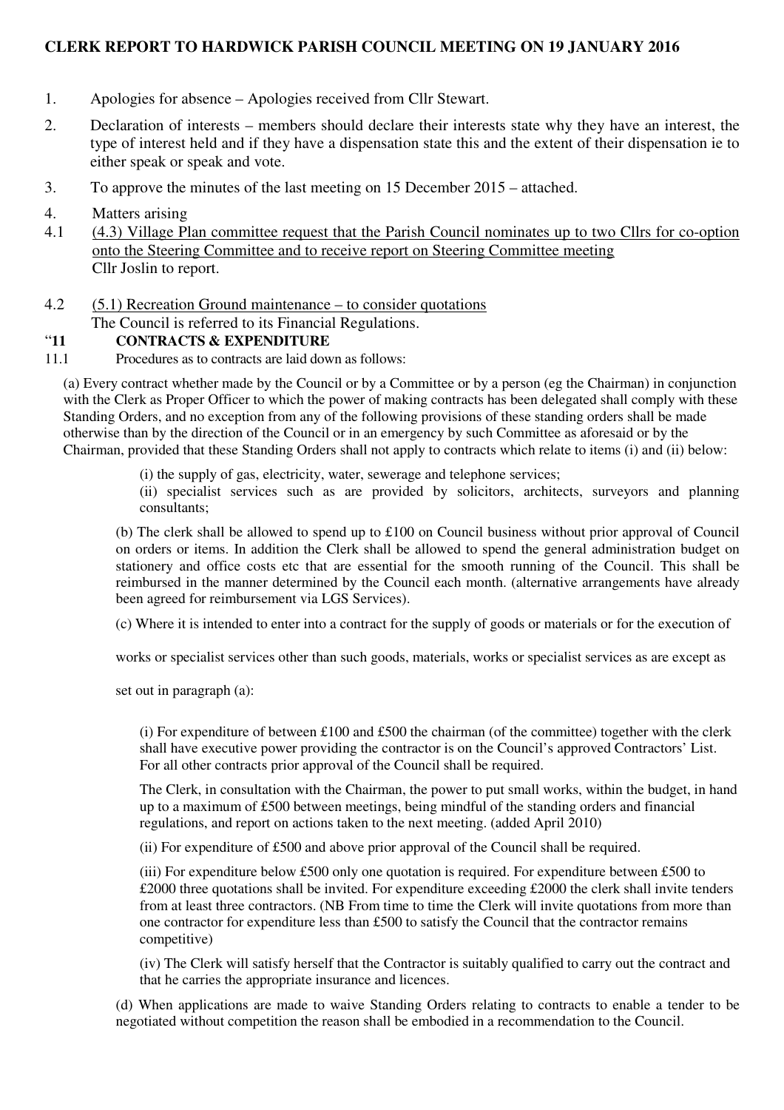## **CLERK REPORT TO HARDWICK PARISH COUNCIL MEETING ON 19 JANUARY 2016**

- 1. Apologies for absence Apologies received from Cllr Stewart.
- 2. Declaration of interests members should declare their interests state why they have an interest, the type of interest held and if they have a dispensation state this and the extent of their dispensation ie to either speak or speak and vote.
- 3. To approve the minutes of the last meeting on 15 December 2015 attached.
- 4. Matters arising
- 4.1 (4.3) Village Plan committee request that the Parish Council nominates up to two Cllrs for co-option onto the Steering Committee and to receive report on Steering Committee meeting Cllr Joslin to report.
- 4.2 (5.1) Recreation Ground maintenance to consider quotations The Council is referred to its Financial Regulations.

## "**11 CONTRACTS & EXPENDITURE**

11.1 Procedures as to contracts are laid down as follows:

(a) Every contract whether made by the Council or by a Committee or by a person (eg the Chairman) in conjunction with the Clerk as Proper Officer to which the power of making contracts has been delegated shall comply with these Standing Orders, and no exception from any of the following provisions of these standing orders shall be made otherwise than by the direction of the Council or in an emergency by such Committee as aforesaid or by the Chairman, provided that these Standing Orders shall not apply to contracts which relate to items (i) and (ii) below:

(i) the supply of gas, electricity, water, sewerage and telephone services;

(ii) specialist services such as are provided by solicitors, architects, surveyors and planning consultants;

(b) The clerk shall be allowed to spend up to £100 on Council business without prior approval of Council on orders or items. In addition the Clerk shall be allowed to spend the general administration budget on stationery and office costs etc that are essential for the smooth running of the Council. This shall be reimbursed in the manner determined by the Council each month. (alternative arrangements have already been agreed for reimbursement via LGS Services).

(c) Where it is intended to enter into a contract for the supply of goods or materials or for the execution of

works or specialist services other than such goods, materials, works or specialist services as are except as

set out in paragraph (a):

(i) For expenditure of between £100 and £500 the chairman (of the committee) together with the clerk shall have executive power providing the contractor is on the Council's approved Contractors' List. For all other contracts prior approval of the Council shall be required.

The Clerk, in consultation with the Chairman, the power to put small works, within the budget, in hand up to a maximum of £500 between meetings, being mindful of the standing orders and financial regulations, and report on actions taken to the next meeting. (added April 2010)

(ii) For expenditure of £500 and above prior approval of the Council shall be required.

(iii) For expenditure below £500 only one quotation is required. For expenditure between £500 to £2000 three quotations shall be invited. For expenditure exceeding £2000 the clerk shall invite tenders from at least three contractors. (NB From time to time the Clerk will invite quotations from more than one contractor for expenditure less than £500 to satisfy the Council that the contractor remains competitive)

(iv) The Clerk will satisfy herself that the Contractor is suitably qualified to carry out the contract and that he carries the appropriate insurance and licences.

(d) When applications are made to waive Standing Orders relating to contracts to enable a tender to be negotiated without competition the reason shall be embodied in a recommendation to the Council.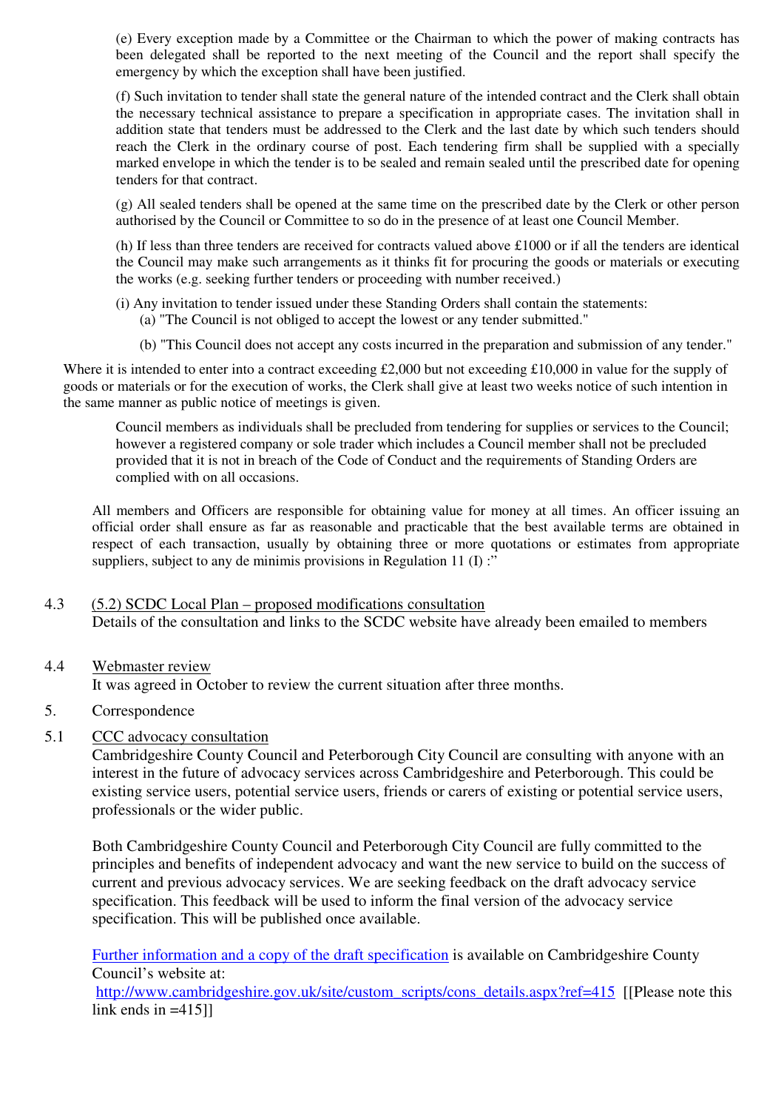(e) Every exception made by a Committee or the Chairman to which the power of making contracts has been delegated shall be reported to the next meeting of the Council and the report shall specify the emergency by which the exception shall have been justified.

(f) Such invitation to tender shall state the general nature of the intended contract and the Clerk shall obtain the necessary technical assistance to prepare a specification in appropriate cases. The invitation shall in addition state that tenders must be addressed to the Clerk and the last date by which such tenders should reach the Clerk in the ordinary course of post. Each tendering firm shall be supplied with a specially marked envelope in which the tender is to be sealed and remain sealed until the prescribed date for opening tenders for that contract.

(g) All sealed tenders shall be opened at the same time on the prescribed date by the Clerk or other person authorised by the Council or Committee to so do in the presence of at least one Council Member.

(h) If less than three tenders are received for contracts valued above £1000 or if all the tenders are identical the Council may make such arrangements as it thinks fit for procuring the goods or materials or executing the works (e.g. seeking further tenders or proceeding with number received.)

- (i) Any invitation to tender issued under these Standing Orders shall contain the statements:
	- (a) "The Council is not obliged to accept the lowest or any tender submitted."
	- (b) "This Council does not accept any costs incurred in the preparation and submission of any tender."

Where it is intended to enter into a contract exceeding £2,000 but not exceeding £10,000 in value for the supply of goods or materials or for the execution of works, the Clerk shall give at least two weeks notice of such intention in the same manner as public notice of meetings is given.

Council members as individuals shall be precluded from tendering for supplies or services to the Council; however a registered company or sole trader which includes a Council member shall not be precluded provided that it is not in breach of the Code of Conduct and the requirements of Standing Orders are complied with on all occasions.

All members and Officers are responsible for obtaining value for money at all times. An officer issuing an official order shall ensure as far as reasonable and practicable that the best available terms are obtained in respect of each transaction, usually by obtaining three or more quotations or estimates from appropriate suppliers, subject to any de minimis provisions in Regulation 11  $(I)$ :

## 4.3 (5.2) SCDC Local Plan – proposed modifications consultation Details of the consultation and links to the SCDC website have already been emailed to members

## 4.4 Webmaster review

It was agreed in October to review the current situation after three months.

5. Correspondence

## 5.1 CCC advocacy consultation

Cambridgeshire County Council and Peterborough City Council are consulting with anyone with an interest in the future of advocacy services across Cambridgeshire and Peterborough. This could be existing service users, potential service users, friends or carers of existing or potential service users, professionals or the wider public.

Both Cambridgeshire County Council and Peterborough City Council are fully committed to the principles and benefits of independent advocacy and want the new service to build on the success of current and previous advocacy services. We are seeking feedback on the draft advocacy service specification. This feedback will be used to inform the final version of the advocacy service specification. This will be published once available.

Further information and a copy of the draft specification is available on Cambridgeshire County Council's website at:

http://www.cambridgeshire.gov.uk/site/custom\_scripts/cons\_details.aspx?ref=415 [[Please note this link ends in  $=415$ ]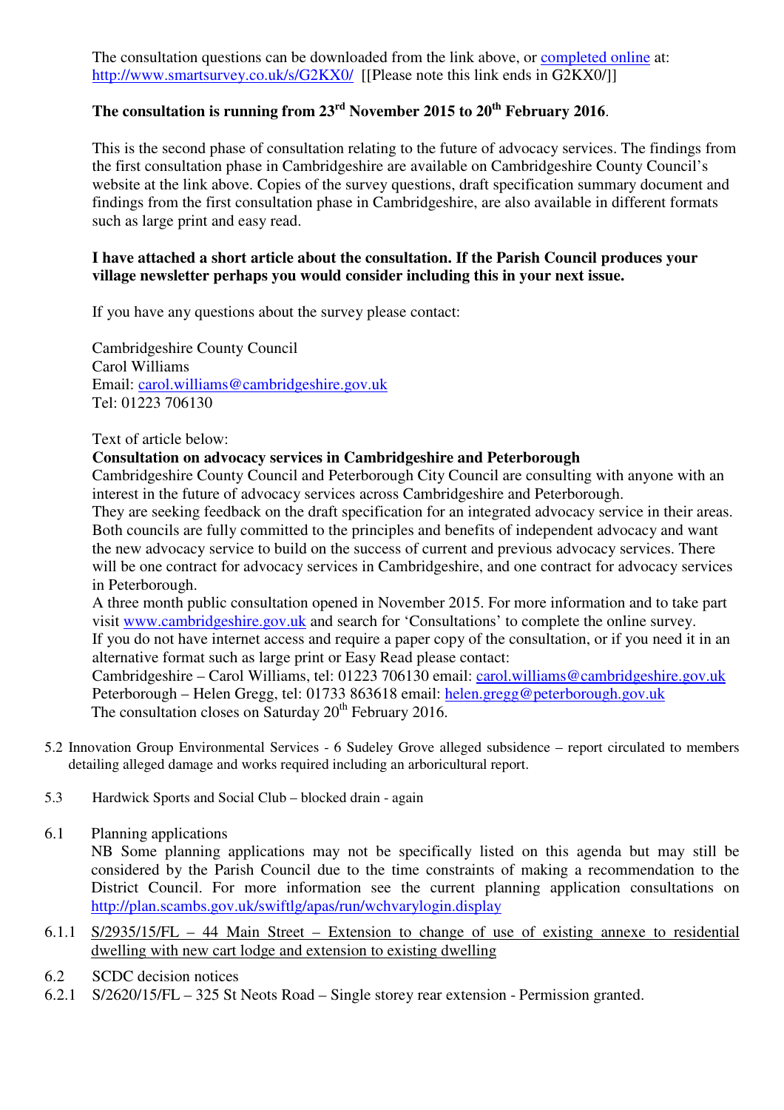The consultation questions can be downloaded from the link above, or completed online at: http://www.smartsurvey.co.uk/s/G2KX0/ [[Please note this link ends in G2KX0/]]

# **The consultation is running from 23rd November 2015 to 20th February 2016**.

This is the second phase of consultation relating to the future of advocacy services. The findings from the first consultation phase in Cambridgeshire are available on Cambridgeshire County Council's website at the link above. Copies of the survey questions, draft specification summary document and findings from the first consultation phase in Cambridgeshire, are also available in different formats such as large print and easy read.

## **I have attached a short article about the consultation. If the Parish Council produces your village newsletter perhaps you would consider including this in your next issue.**

If you have any questions about the survey please contact:

Cambridgeshire County Council Carol Williams Email: carol.williams@cambridgeshire.gov.uk Tel: 01223 706130

## Text of article below:

## **Consultation on advocacy services in Cambridgeshire and Peterborough**

Cambridgeshire County Council and Peterborough City Council are consulting with anyone with an interest in the future of advocacy services across Cambridgeshire and Peterborough.

They are seeking feedback on the draft specification for an integrated advocacy service in their areas. Both councils are fully committed to the principles and benefits of independent advocacy and want the new advocacy service to build on the success of current and previous advocacy services. There will be one contract for advocacy services in Cambridgeshire, and one contract for advocacy services in Peterborough.

A three month public consultation opened in November 2015. For more information and to take part visit www.cambridgeshire.gov.uk and search for 'Consultations' to complete the online survey. If you do not have internet access and require a paper copy of the consultation, or if you need it in an alternative format such as large print or Easy Read please contact:

Cambridgeshire – Carol Williams, tel: 01223 706130 email: carol.williams@cambridgeshire.gov.uk Peterborough – Helen Gregg, tel: 01733 863618 email: helen.gregg@peterborough.gov.uk The consultation closes on Saturday 20<sup>th</sup> February 2016.

- 5.2 Innovation Group Environmental Services 6 Sudeley Grove alleged subsidence report circulated to members detailing alleged damage and works required including an arboricultural report.
- 5.3 Hardwick Sports and Social Club blocked drain again

## 6.1 Planning applications

NB Some planning applications may not be specifically listed on this agenda but may still be considered by the Parish Council due to the time constraints of making a recommendation to the District Council. For more information see the current planning application consultations on http://plan.scambs.gov.uk/swiftlg/apas/run/wchvarylogin.display

- 6.1.1 S/2935/15/FL 44 Main Street Extension to change of use of existing annexe to residential dwelling with new cart lodge and extension to existing dwelling
- 6.2 SCDC decision notices
- 6.2.1 S/2620/15/FL 325 St Neots Road Single storey rear extension Permission granted.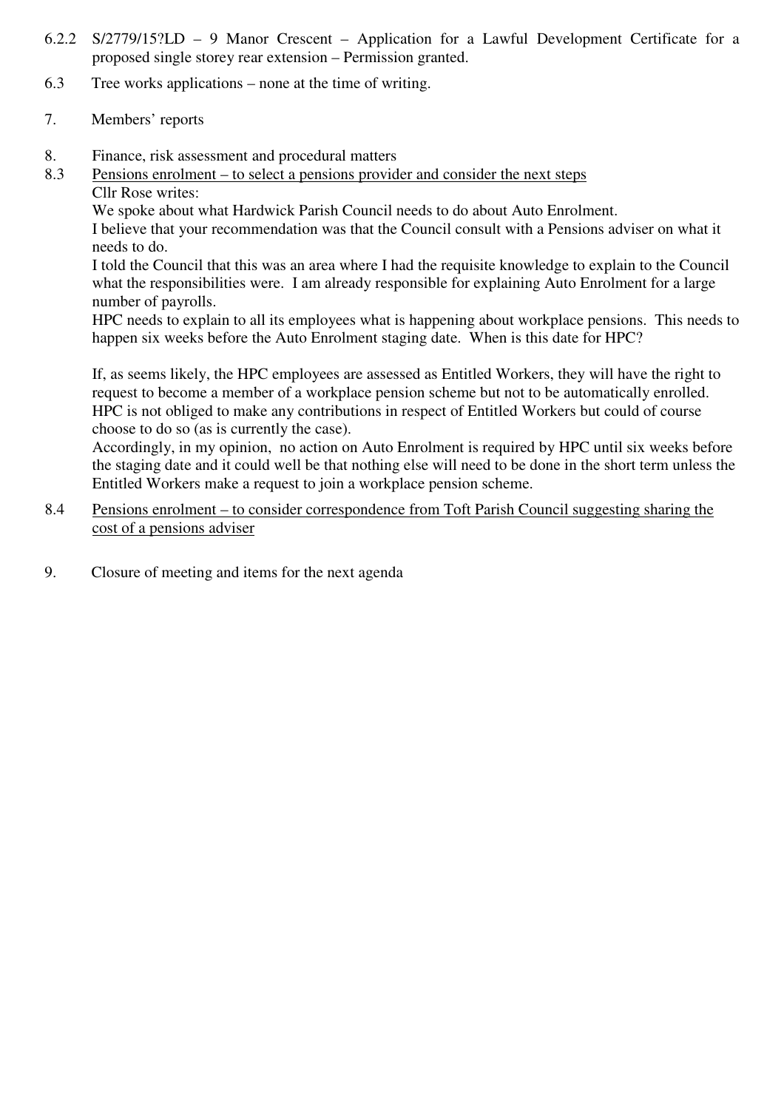- 6.2.2 S/2779/15?LD 9 Manor Crescent Application for a Lawful Development Certificate for a proposed single storey rear extension – Permission granted.
- 6.3 Tree works applications none at the time of writing.
- 7. Members' reports
- 8. Finance, risk assessment and procedural matters
- 8.3 Pensions enrolment to select a pensions provider and consider the next steps
- Cllr Rose writes:

We spoke about what Hardwick Parish Council needs to do about Auto Enrolment.

I believe that your recommendation was that the Council consult with a Pensions adviser on what it needs to do.

I told the Council that this was an area where I had the requisite knowledge to explain to the Council what the responsibilities were. I am already responsible for explaining Auto Enrolment for a large number of payrolls.

HPC needs to explain to all its employees what is happening about workplace pensions. This needs to happen six weeks before the Auto Enrolment staging date. When is this date for HPC?

If, as seems likely, the HPC employees are assessed as Entitled Workers, they will have the right to request to become a member of a workplace pension scheme but not to be automatically enrolled. HPC is not obliged to make any contributions in respect of Entitled Workers but could of course choose to do so (as is currently the case).

Accordingly, in my opinion, no action on Auto Enrolment is required by HPC until six weeks before the staging date and it could well be that nothing else will need to be done in the short term unless the Entitled Workers make a request to join a workplace pension scheme.

- 8.4 Pensions enrolment to consider correspondence from Toft Parish Council suggesting sharing the cost of a pensions adviser
- 9. Closure of meeting and items for the next agenda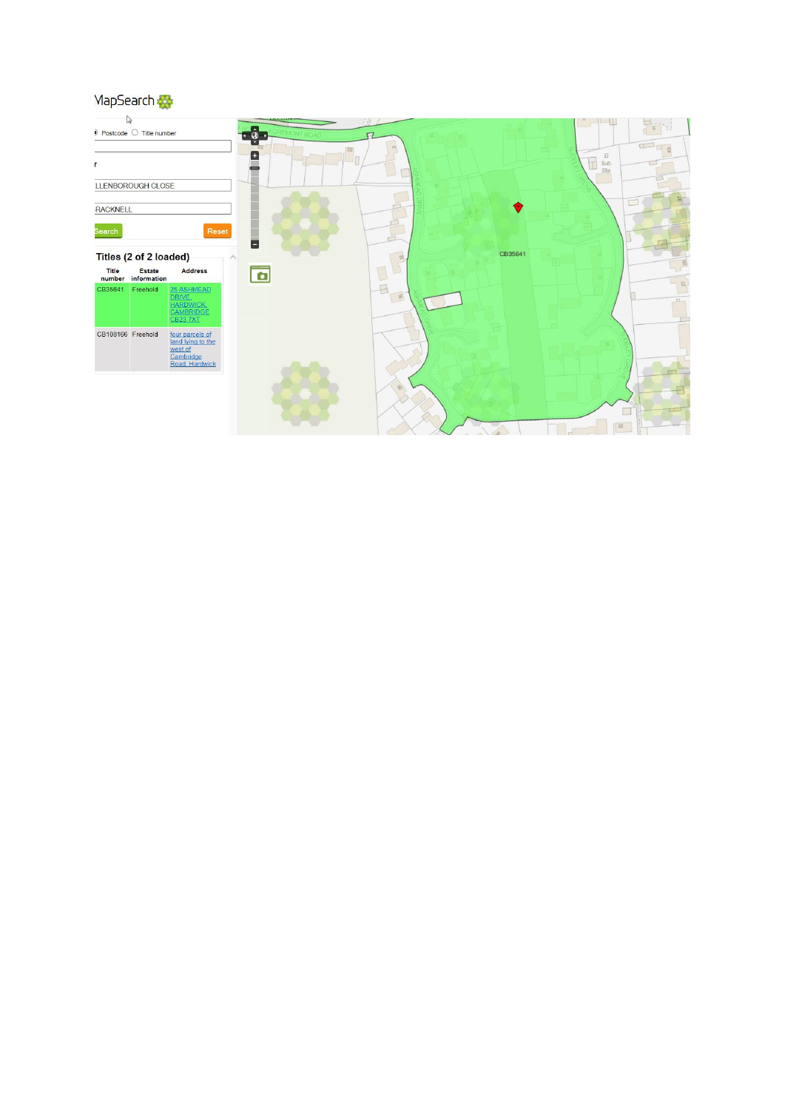